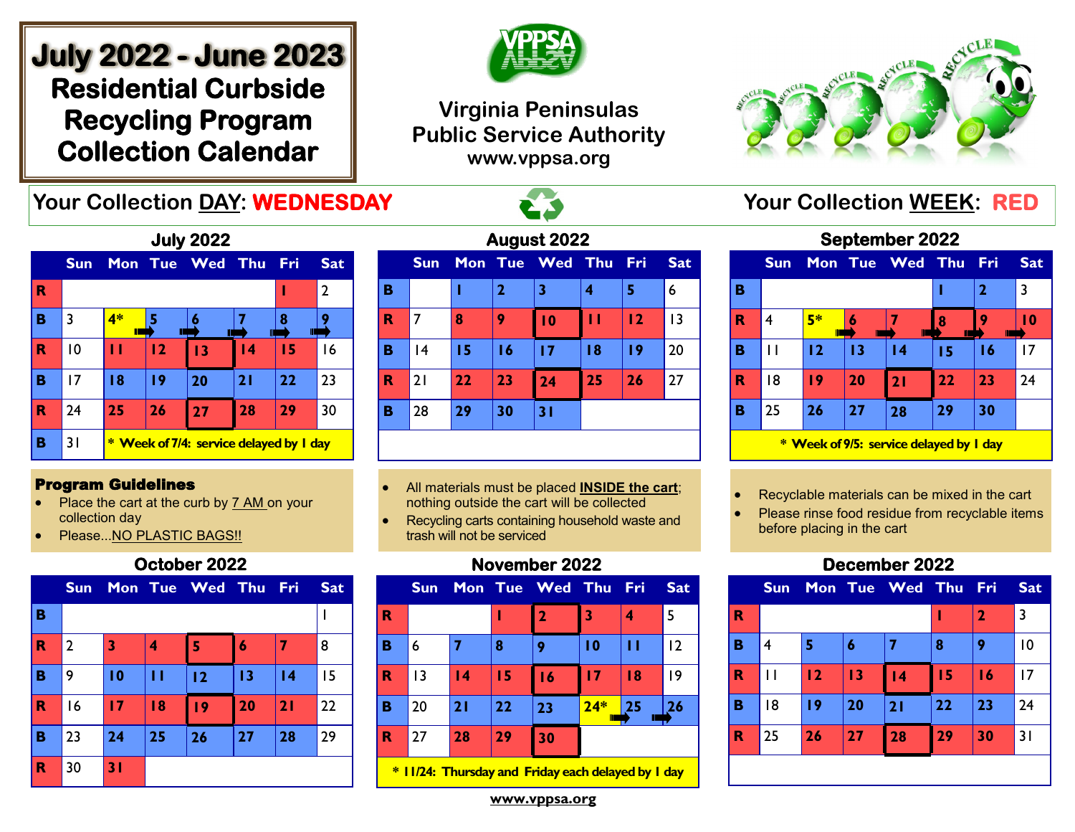# **July 2022 - June 2023 Residential Curbside Recycling Program Collection Calendar**



## **Virginia Peninsulas Public Service Authority www.vppsa.org**



## **Your Collection DAY: WEDNESDAY And All Acts of All Acts of All Your Collection WEEK: RED**



#### Program Guidelines

- Place the cart at the curb by 7 AM on your collection day
- Please...NO PLASTIC BAGS!!

#### **October 2022**

|             | <b>Sun</b>     |    |    | Mon Tue Wed Thu Fri |    |    | <b>Sat</b> |
|-------------|----------------|----|----|---------------------|----|----|------------|
| B           |                |    |    |                     |    |    |            |
| $\mathbf R$ | $\overline{2}$ | 3  | 4  | 5                   | 6  | 7  | 8          |
| B           | 9              | 10 | П  | 12                  | 13 | 4  | 15         |
| $\mathbf R$ | 16             | 17 | 18 | 19                  | 20 | 21 | 22         |
| B           | 23             | 24 | 25 | 26                  | 27 | 28 | 29         |
| $\mathbf R$ | 30             | 31 |    |                     |    |    |            |

| August 2022 |            |    |                |                 |    |            |            |  |  |  |  |  |
|-------------|------------|----|----------------|-----------------|----|------------|------------|--|--|--|--|--|
|             | <b>Sun</b> |    |                | Mon Tue Wed Thu |    | <b>Fri</b> | <b>Sat</b> |  |  |  |  |  |
| в           |            |    | $\overline{2}$ | 3               | 4  | 5          | 6          |  |  |  |  |  |
| R           | 7          | 8  | 9              | 10              | п  | 12         | 13         |  |  |  |  |  |
| в           | 4          | 15 | 16             | 17              | 18 | 19         | 20         |  |  |  |  |  |
| R           | 21         | 22 | 23             | 24              | 25 | 26         | 27         |  |  |  |  |  |
| в           | 28         | 29 | 30             | 31              |    |            |            |  |  |  |  |  |
|             |            |    |                |                 |    |            |            |  |  |  |  |  |

- All materials must be placed **INSIDE the cart**; nothing outside the cart will be collected
- Recycling carts containing household waste and trash will not be serviced

#### **November 2022**



**\* 11/24: Thursday and Friday each delayed by 1 day**

|   | <b>September 2022</b> |         |    |                     |   |  |            |  |  |  |  |  |  |
|---|-----------------------|---------|----|---------------------|---|--|------------|--|--|--|--|--|--|
|   | <b>Sun</b>            |         |    | Mon Tue Wed Thu Fri |   |  | <b>Sat</b> |  |  |  |  |  |  |
| в |                       |         |    |                     |   |  |            |  |  |  |  |  |  |
| R |                       | 5*<br>П |    |                     | 8 |  |            |  |  |  |  |  |  |
| в |                       | 12      | 13 | 14                  |   |  |            |  |  |  |  |  |  |

• Recyclable materials can be mixed in the cart

**\* Week of 9/5: service delayed by 1 day** 

**R** 18 **19 20 21 22 23** 24

**B** 25 **26 27 28 29 30**

Please rinse food residue from recyclable items before placing in the cart

#### **December 2022**



**www.vppsa.org**